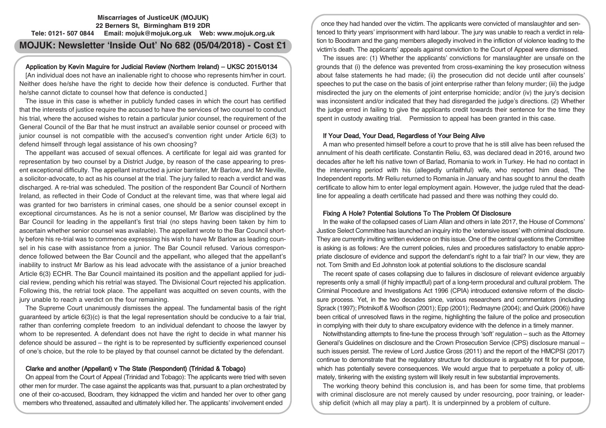# **Miscarriages of JusticeUK (MOJUK) 22 Berners St, Birmingham B19 2DR Tele: 0121- 507 0844 Email: mojuk@mojuk.org.uk Web: www.mojuk.org.uk**

# **MOJUK: Newsletter 'Inside Out' No 682 (05/04/2018) - Cost £1**

# Application by Kevin Maguire for Judicial Review (Northern Ireland) – UKSC 2015/0134

[An individual does not have an inalienable right to choose who represents him/her in court. Neither does he/she have the right to decide how their defence is conducted. Further that he/she cannot dictate to counsel how that defence is conducted.]

The issue in this case is whether in publicly funded cases in which the court has certified that the interests of justice require the accused to have the services of two counsel to conduct his trial, where the accused wishes to retain a particular junior counsel, the requirement of the General Council of the Bar that he must instruct an available senior counsel or proceed with junior counsel is not compatible with the accused's convention right under Article 6(3) to defend himself through legal assistance of his own choosing?

The appellant was accused of sexual offences. A certificate for legal aid was granted for representation by two counsel by a District Judge, by reason of the case appearing to present exceptional difficulty. The appellant instructed a junior barrister, Mr Barlow, and Mr Neville, a solicitor-advocate, to act as his counsel at the trial. The jury failed to reach a verdict and was discharged. A re-trial was scheduled. The position of the respondent Bar Council of Northern Ireland, as reflected in their Code of Conduct at the relevant time, was that where legal aid was granted for two barristers in criminal cases, one should be a senior counsel except in exceptional circumstances. As he is not a senior counsel, Mr Barlow was disciplined by the Bar Council for leading in the appellant's first trial (no steps having been taken by him to ascertain whether senior counsel was available). The appellant wrote to the Bar Council shortly before his re-trial was to commence expressing his wish to have Mr Barlow as leading counsel in his case with assistance from a junior. The Bar Council refused. Various correspondence followed between the Bar Council and the appellant, who alleged that the appellant's inability to instruct Mr Barlow as his lead advocate with the assistance of a junior breached Article 6(3) ECHR. The Bar Council maintained its position and the appellant applied for judicial review, pending which his retrial was stayed. The Divisional Court rejected his application. Following this, the retrial took place. The appellant was acquitted on seven counts, with the jury unable to reach a verdict on the four remaining.

The Supreme Court unanimously dismisses the appeal. The fundamental basis of the right guaranteed by article 6(3)(c) is that the legal representation should be conducive to a fair trial, rather than conferring complete freedom to an individual defendant to choose the lawyer by whom to be represented. A defendant does not have the right to decide in what manner his defence should be assured – the right is to be represented by sufficiently experienced counsel of one's choice, but the role to be played by that counsel cannot be dictated by the defendant.

# Clarke and another (Appellant) v The State (Respondent) (Trinidad & Tobago)

On appeal from the Court of Appeal (Trinidad and Tobago): The applicants were tried with seven other men for murder. The case against the applicants was that, pursuant to a plan orchestrated by one of their co-accused, Boodram, they kidnapped the victim and handed her over to other gang members who threatened, assaulted and ultimately killed her. The applicants' involvement ended

once they had handed over the victim. The applicants were convicted of manslaughter and sentenced to thirty years' imprisonment with hard labour. The jury was unable to reach a verdict in relation to Boodram and the gang members allegedly involved in the infliction of violence leading to the victim's death. The applicants' appeals against conviction to the Court of Appeal were dismissed.

The issues are: (1) Whether the applicants' convictions for manslaughter are unsafe on the grounds that (i) the defence was prevented from cross-examining the key prosecution witness about false statements he had made; (ii) the prosecution did not decide until after counsels' speeches to put the case on the basis of joint enterprise rather than felony murder; (iii) the judge misdirected the jury on the elements of joint enterprise homicide; and/or (iv) the jury's decision was inconsistent and/or indicated that they had disregarded the judge's directions. (2) Whether the judge erred in failing to give the applicants credit towards their sentence for the time they spent in custody awaiting trial. Permission to appeal has been granted in this case.

## If Your Dead, Your Dead, Regardless of Your Being Alive

A man who presented himself before a court to prove that he is still alive has been refused the annulment of his death certificate. Constantin Reliu, 63, was declared dead in 2016, around two decades after he left his native town of Barlad, Romania to work in Turkey. He had no contact in the intervening period with his (allegedly unfaithful) wife, who reported him dead, The Independent reports. Mr Reliu returned to Romania in January and has sought to annul the death certificate to allow him to enter legal employment again. However, the judge ruled that the deadline for appealing a death certificate had passed and there was nothing they could do.

# Fixing A Hole? Potential Solutions To The Problem Of Disclosure

In the wake of the collapsed cases of Liam Allan and others in late 2017, the House of Commons' Justice Select Committee has launched an inquiry into the 'extensive issues' with criminal disclosure. They are currently inviting written evidence on this issue. One of the central questions the Committee is asking is as follows: Are the current policies, rules and procedures satisfactory to enable appropriate disclosure of evidence and support the defendant's right to a fair trial? In our view, they are not. Tom Smith and Ed Johnston look at potential solutions to the disclosure scandal

The recent spate of cases collapsing due to failures in disclosure of relevant evidence arguably represents only a small (if highly impactful) part of a long-term procedural and cultural problem. The Criminal Procedure and Investigations Act 1996 (CPIA) introduced extensive reform of the disclosure process. Yet, in the two decades since, various researchers and commentators (including Sprack (1997); Plotnikoff & Woolfson (2001); Epp (2001); Redmayne (2004); and Quirk (2006)) have been critical of unresolved flaws in the regime, highlighting the failure of the police and prosecution in complying with their duty to share exculpatory evidence with the defence in a timely manner.

Notwithstanding attempts to fine-tune the process through 'soft' regulation – such as the Attorney General's Guidelines on disclosure and the Crown Prosecution Service (CPS) disclosure manual – such issues persist. The review of Lord Justice Gross (2011) and the report of the HMCPSI (2017) continue to demonstrate that the regulatory structure for disclosure is arguably not fit for purpose, which has potentially severe consequences. We would argue that to perpetuate a policy of, ultimately, tinkering with the existing system will likely result in few substantial improvements.

The working theory behind this conclusion is, and has been for some time, that problems with criminal disclosure are not merely caused by under resourcing, poor training, or leadership deficit (which all may play a part). It is underpinned by a problem of culture.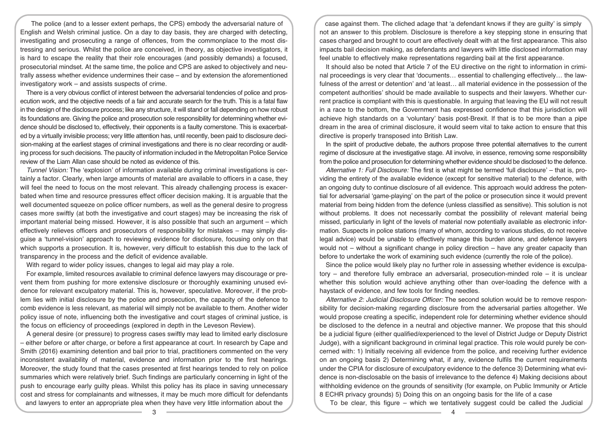The police (and to a lesser extent perhaps, the CPS) embody the adversarial nature of English and Welsh criminal justice. On a day to day basis, they are charged with detecting, investigating and prosecuting a range of offences, from the commonplace to the most distressing and serious. Whilst the police are conceived, in theory, as objective investigators, it is hard to escape the reality that their role encourages (and possibly demands) a focused, prosecutorial mindset. At the same time, the police and CPS are asked to objectively and neutrally assess whether evidence undermines their case – and by extension the aforementioned investigatory work – and assists suspects of crime.

There is a very obvious conflict of interest between the adversarial tendencies of police and prosecution work, and the objective needs of a fair and accurate search for the truth. This is a fatal flaw in the design of the disclosure process; like any structure, it will stand or fall depending on how robust its foundations are. Giving the police and prosecution sole responsibility for determining whether evidence should be disclosed to, effectively, their opponents is a faulty cornerstone. This is exacerbated by a virtually invisible process; very little attention has, until recently, been paid to disclosure decision-making at the earliest stages of criminal investigations and there is no clear recording or auditing process for such decisions. The paucity of information included in the Metropolitan Police Service review of the Liam Allan case should be noted as evidence of this.

Tunnel Vision: The 'explosion' of information available during criminal investigations is certainly a factor. Clearly, when large amounts of material are available to officers in a case, they will feel the need to focus on the most relevant. This already challenging process is exacerbated when time and resource pressures effect officer decision making. It is arguable that the well documented squeeze on police officer numbers, as well as the general desire to progress cases more swiftly (at both the investigative and court stages) may be increasing the risk of important material being missed. However, it is also possible that such an argument – which effectively relieves officers and prosecutors of responsibility for mistakes – may simply disguise a 'tunnel-vision' approach to reviewing evidence for disclosure, focusing only on that which supports a prosecution. It is, however, very difficult to establish this due to the lack of transparency in the process and the deficit of evidence available.

With regard to wider policy issues, changes to legal aid may play a role.

For example, limited resources available to criminal defence lawyers may discourage or prevent them from pushing for more extensive disclosure or thoroughly examining unused evidence for relevant exculpatory material. This is, however, speculative. Moreover, if the problem lies with initial disclosure by the police and prosecution, the capacity of the defence to comb evidence is less relevant, as material will simply not be available to them. Another wider policy issue of note, influencing both the investigative and court stages of criminal justice, is the focus on efficiency of proceedings (explored in depth in the Leveson Review).

A general desire (or pressure) to progress cases swiftly may lead to limited early disclosure – either before or after charge, or before a first appearance at court. In research by Cape and Smith (2016) examining detention and bail prior to trial, practitioners commented on the very inconsistent availability of material, evidence and information prior to the first hearings. Moreover, the study found that the cases presented at first hearings tended to rely on police summaries which were relatively brief. Such findings are particularly concerning in light of the push to encourage early guilty pleas. Whilst this policy has its place in saving unnecessary cost and stress for complainants and witnesses, it may be much more difficult for defendants and lawyers to enter an appropriate plea when they have very little information about the

case against them. The cliched adage that 'a defendant knows if they are guilty' is simply not an answer to this problem. Disclosure is therefore a key stepping stone in ensuring that cases charged and brought to court are effectively dealt with at the first appearance. This also impacts bail decision making, as defendants and lawyers with little disclosed information may feel unable to effectively make representations regarding bail at the first appearance.

It should also be noted that Article 7 of the EU directive on the right to information in criminal proceedings is very clear that 'documents… essential to challenging effectively… the lawfulness of the arrest or detention' and 'at least… all material evidence in the possession of the competent authorities' should be made available to suspects and their lawyers. Whether current practice is compliant with this is questionable. In arguing that leaving the EU will not result in a race to the bottom, the Government has expressed confidence that this jurisdiction will achieve high standards on a 'voluntary' basis post-Brexit. If that is to be more than a pipe dream in the area of criminal disclosure, it would seem vital to take action to ensure that this directive is properly transposed into British Law.

In the spirit of productive debate, the authors propose three potential alternatives to the current regime of disclosure at the investigative stage. All involve, in essence, removing some responsibility from the police and prosecution for determining whether evidence should be disclosed to the defence.

Alternative 1: Full Disclosure: The first is what might be termed 'full disclosure' – that is, providing the entirety of the available evidence (except for sensitive material) to the defence, with an ongoing duty to continue disclosure of all evidence. This approach would address the potential for adversarial 'game-playing' on the part of the police or prosecution since it would prevent material from being hidden from the defence (unless classified as sensitive). This solution is not without problems. It does not necessarily combat the possibility of relevant material being missed, particularly in light of the levels of material now potentially available as electronic information. Suspects in police stations (many of whom, according to various studies, do not receive legal advice) would be unable to effectively manage this burden alone, and defence lawyers would not – without a significant change in policy direction – have any greater capacity than before to undertake the work of examining such evidence (currently the role of the police).

Since the police would likely play no further role in assessing whether evidence is exculpatory – and therefore fully embrace an adversarial, prosecution-minded role – it is unclear whether this solution would achieve anything other than over-loading the defence with a haystack of evidence, and few tools for finding needles.

Alternative 2: Judicial Disclosure Officer: The second solution would be to remove responsibility for decision-making regarding disclosure from the adversarial parties altogether. We would propose creating a specific, independent role for determining whether evidence should be disclosed to the defence in a neutral and objective manner. We propose that this should be a judicial figure (either qualified/experienced to the level of District Judge or Deputy District Judge), with a significant background in criminal legal practice. This role would purely be concerned with: 1) Initially receiving all evidence from the police, and receiving further evidence on an ongoing basis 2) Determining what, if any, evidence fulfils the current requirements under the CPIA for disclosure of exculpatory evidence to the defence 3) Determining what evidence is non-disclosable on the basis of irrelevance to the defence 4) Making decisions about withholding evidence on the grounds of sensitivity (for example, on Public Immunity or Article 8 ECHR privacy grounds) 5) Doing this on an ongoing basis for the life of a case

To be clear, this figure – which we tentatively suggest could be called the Judicial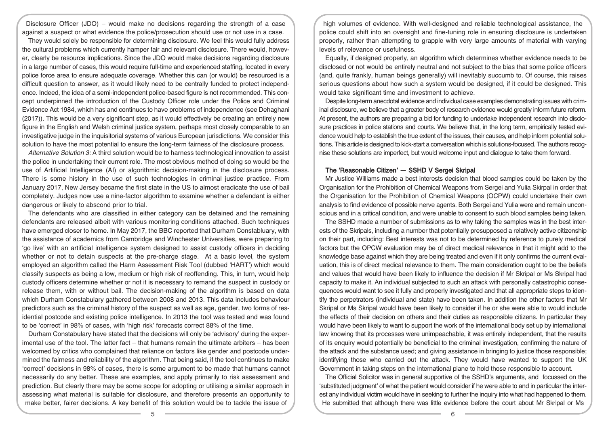Disclosure Officer (JDO) – would make no decisions regarding the strength of a case against a suspect or what evidence the police/prosecution should use or not use in a case.

They would solely be responsible for determining disclosure. We feel this would fully address the cultural problems which currently hamper fair and relevant disclosure. There would, however, clearly be resource implications. Since the JDO would make decisions regarding disclosure in a large number of cases, this would require full-time and experienced staffing, located in every police force area to ensure adequate coverage. Whether this can (or would) be resourced is a difficult question to answer, as it would likely need to be centrally funded to protect independence. Indeed, the idea of a semi-independent police-based figure is not recommended. This concept underpinned the introduction of the Custody Officer role under the Police and Criminal Evidence Act 1984, which has and continues to have problems of independence (see Dehaghani (2017)). This would be a very significant step, as it would effectively be creating an entirely new figure in the English and Welsh criminal justice system, perhaps most closely comparable to an investigative judge in the inquisitorial systems of various European jurisdictions. We consider this solution to have the most potential to ensure the long-term fairness of the disclosure process.

Alternative Solution 3: A third solution would be to harness technological innovation to assist the police in undertaking their current role. The most obvious method of doing so would be the use of Artificial Intelligence (AI) or algorithmic decision-making in the disclosure process. There is some history in the use of such technologies in criminal justice practice. From January 2017, New Jersey became the first state in the US to almost eradicate the use of bail completely. Judges now use a nine-factor algorithm to examine whether a defendant is either dangerous or likely to abscond prior to trial.

The defendants who are classified in either category can be detained and the remaining defendants are released albeit with various monitoring conditions attached. Such techniques have emerged closer to home. In May 2017, the BBC reported that Durham Constabluary, with the assistance of academics from Cambridge and Winchester Universities, were preparing to 'go live' with an artificial intelligence system designed to assist custody officers in deciding whether or not to detain suspects at the pre-charge stage. At a basic level, the system employed an algorithm called the Harm Assessment Risk Tool (dubbed 'HART') which would classify suspects as being a low, medium or high risk of reoffending. This, in turn, would help custody officers determine whether or not it is necessary to remand the suspect in custody or release them, with or without bail. The decision-making of the algorithm is based on data which Durham Constabulary gathered between 2008 and 2013. This data includes behaviour predictors such as the criminal history of the suspect as well as age, gender, two forms of residential postcode and existing police intelligence. In 2013 the tool was tested and was found to be 'correct' in 98% of cases, with 'high risk' forecasts correct 88% of the time.

Durham Constabulary have stated that the decisions will only be 'advisory' during the experimental use of the tool. The latter fact – that humans remain the ultimate arbiters – has been welcomed by critics who complained that reliance on factors like gender and postcode undermined the fairness and reliability of the algorithm. That being said, if the tool continues to make 'correct' decisions in 98% of cases, there is some argument to be made that humans cannot necessarily do any better. These are examples, and apply primarily to risk assessment and prediction. But clearly there may be some scope for adopting or utilising a similar approach in assessing what material is suitable for disclosure, and therefore presents an opportunity to make better, fairer decisions. A key benefit of this solution would be to tackle the issue of

high volumes of evidence. With well-designed and reliable technological assistance, the police could shift into an oversight and fine-tuning role in ensuring disclosure is undertaken properly, rather than attempting to grapple with very large amounts of material with varying levels of relevance or usefulness.

Equally, if designed properly, an algorithm which determines whether evidence needs to be disclosed or not would be entirely neutral and not subject to the bias that some police officers (and, quite frankly, human beings generally) will inevitably succumb to. Of course, this raises serious questions about how such a system would be designed, if it could be designed. This would take significant time and investment to achieve.

Despite long-term anecdotal evidence and individual case examples demonstrating issues with criminal disclosure, we believe that a greater body of research evidence would greatly inform future reform. At present, the authors are preparing a bid for funding to undertake independent research into disclosure practices in police stations and courts. We believe that, in the long term, empirically tested evidence would help to establish the true extent of the issues, their causes, and help inform potential solutions. This article is designed to kick-start a conversation which is solutions-focused. The authors recognise these solutions are imperfect, but would welcome input and dialogue to take them forward.

#### The 'Reasonable Citizen' — SSHD V Sergei Skripal

Mr Justice Williams made a best interests decision that blood samples could be taken by the Organisation for the Prohibition of Chemical Weapons from Sergei and Yulia Skirpal in order that the Organisation for the Prohibition of Chemical Weapons (OCPW) could undertake their own analysis to find evidence of possible nerve agents. Both Sergei and Yulia were and remain unconscious and in a critical condition, and were unable to consent to such blood samples being taken.

The SSHD made a number of submissions as to why taking the samples was in the best interests of the Skripals, including a number that potentially presupposed a relatively active citizenship on their part, including: Best interests was not to be determined by reference to purely medical factors but the OPCW evaluation may be of direct medical relevance in that it might add to the knowledge base against which they are being treated and even if it only confirms the current evaluation, this is of direct medical relevance to them. The main consideration ought to be the beliefs and values that would have been likely to influence the decision if Mr Skripal or Ms Skripal had capacity to make it. An individual subjected to such an attack with personally catastrophic consequences would want to see it fully and properly investigated and that all appropriate steps to identify the perpetrators (individual and state) have been taken. In addition the other factors that Mr Skripal or Ms Skripal would have been likely to consider if he or she were able to would include the effects of their decision on others and their duties as responsible citizens. In particular they would have been likely to want to support the work of the international body set up by international law knowing that its processes were unimpeachable, it was entirely independent, that the results of its enquiry would potentially be beneficial to the criminal investigation, confirming the nature of the attack and the substance used; and giving assistance in bringing to justice those responsible; identifying those who carried out the attack. They would have wanted to support the UK Government in taking steps on the international plane to hold those responsible to account.

The Official Solicitor was in general supportive of the SSHD's arguments, and focussed on the 'substituted judgment' of what the patient would consider if he were able to and in particular the interest any individual victim would have in seeking to further the inquiry into what had happened to them. He submitted that although there was little evidence before the court about Mr Skripal or Ms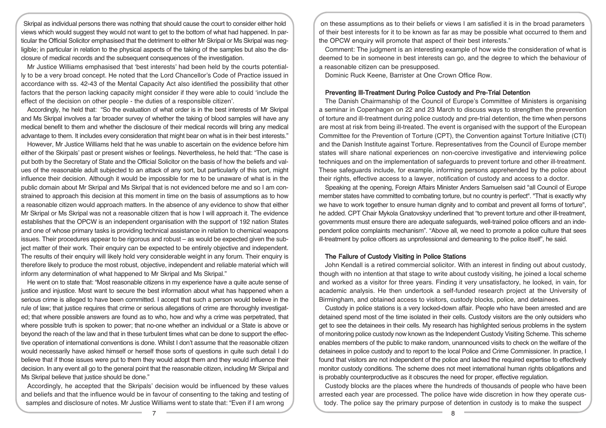Skripal as individual persons there was nothing that should cause the court to consider either hold views which would suggest they would not want to get to the bottom of what had happened. In particular the Official Solicitor emphasised that the detriment to either Mr Skripal or Ms Skripal was negligible; in particular in relation to the physical aspects of the taking of the samples but also the disclosure of medical records and the subsequent consequences of the investigation.

Mr Justice Williams emphasised that 'best interests' had been held by the courts potentially to be a very broad concept. He noted that the Lord Chancellor's Code of Practice issued in accordance with ss. 42-43 of the Mental Capacity Act also identified the possibility that other factors that the person lacking capacity might consider if they were able to could 'include the effect of the decision on other people - the duties of a responsible citizen'.

Accordingly, he held that: "So the evaluation of what order is in the best interests of Mr Skripal and Ms Skripal involves a far broader survey of whether the taking of blood samples will have any medical benefit to them and whether the disclosure of their medical records will bring any medical advantage to them. It includes every consideration that might bear on what is in their best interests."

However, Mr Justice Williams held that he was unable to ascertain on the evidence before him either of the Skirpals' past or present wishes or feelings. Nevertheless, he held that: "The case is put both by the Secretary of State and the Official Solicitor on the basis of how the beliefs and values of the reasonable adult subjected to an attack of any sort, but particularly of this sort, might influence their decision. Although it would be impossible for me to be unaware of what is in the public domain about Mr Skripal and Ms Skripal that is not evidenced before me and so I am constrained to approach this decision at this moment in time on the basis of assumptions as to how a reasonable citizen would approach matters. In the absence of any evidence to show that either Mr Skripal or Ms Skripal was not a reasonable citizen that is how I will approach it. The evidence establishes that the OPCW is an independent organisation with the support of 192 nation States and one of whose primary tasks is providing technical assistance in relation to chemical weapons issues. Their procedures appear to be rigorous and robust – as would be expected given the subject matter of their work. Their enquiry can be expected to be entirely objective and independent. The results of their enquiry will likely hold very considerable weight in any forum. Their enquiry is therefore likely to produce the most robust, objective, independent and reliable material which will inform any determination of what happened to Mr Skripal and Ms Skripal."

He went on to state that: "Most reasonable citizens in my experience have a quite acute sense of justice and injustice. Most want to secure the best information about what has happened when a serious crime is alleged to have been committed. I accept that such a person would believe in the rule of law; that justice requires that crime or serious allegations of crime are thoroughly investigated; that where possible answers are found as to who, how and why a crime was perpetrated, that where possible truth is spoken to power; that no-one whether an individual or a State is above or beyond the reach of the law and that in these turbulent times what can be done to support the effective operation of international conventions is done. Whilst I don't assume that the reasonable citizen would necessarily have asked himself or herself those sorts of questions in quite such detail I do believe that if those issues were put to them they would adopt them and they would influence their decision. In any event all go to the general point that the reasonable citizen, including Mr Skripal and Ms Skripal believe that justice should be done."

Accordingly, he accepted that the Skripals' decision would be influenced by these values and beliefs and that the influence would be in favour of consenting to the taking and testing of samples and disclosure of notes. Mr Justice Williams went to state that: "Even if I am wrong

on these assumptions as to their beliefs or views I am satisfied it is in the broad parameters of their best interests for it to be known as far as may be possible what occurred to them and the OPCW enquiry will promote that aspect of their best interests."

Comment: The judgment is an interesting example of how wide the consideration of what is deemed to be in someone in best interests can go, and the degree to which the behaviour of a reasonable citizen can be presupposed.

Dominic Ruck Keene, Barrister at One Crown Office Row.

## Preventing Ill-Treatment During Police Custody and Pre-Trial Detention

The Danish Chairmanship of the Council of Europe's Committee of Ministers is organising a seminar in Copenhagen on 22 and 23 March to discuss ways to strengthen the prevention of torture and ill-treatment during police custody and pre-trial detention, the time when persons are most at risk from being ill-treated. The event is organised with the support of the European Committee for the Prevention of Torture (CPT), the Convention against Torture Initiative (CTI) and the Danish Institute against Torture. Representatives from the Council of Europe member states will share national experiences on non-coercive investigative and interviewing police techniques and on the implementation of safeguards to prevent torture and other ill-treatment. These safeguards include, for example, informing persons apprehended by the police about their rights, effective access to a lawyer, notification of custody and access to a doctor.

Speaking at the opening, Foreign Affairs Minister Anders Samuelsen said "all Council of Europe member states have committed to combating torture, but no country is perfect". "That is exactly why we have to work together to ensure human dignity and to combat and prevent all forms of torture", he added. CPT Chair Mykola Gnatovskyy underlined that "to prevent torture and other ill-treatment, governments must ensure there are adequate safeguards, well-trained police officers and an independent police complaints mechanism". "Above all, we need to promote a police culture that sees ill-treatment by police officers as unprofessional and demeaning to the police itself", he said.

## The Failure of Custody Visiting in Police Stations

John Kendall is a retired commercial solicitor. With an interest in finding out about custody, though with no intention at that stage to write about custody visiting, he joined a local scheme and worked as a visitor for three years. Finding it very unsatisfactory, he looked, in vain, for academic analysis. He then undertook a self-funded research project at the University of Birmingham, and obtained access to visitors, custody blocks, police, and detainees.

Custody in police stations is a very locked-down affair. People who have been arrested and are detained spend most of the time isolated in their cells. Custody visitors are the only outsiders who get to see the detainees in their cells. My research has highlighted serious problems in the system of monitoring police custody now known as the Independent Custody Visiting Scheme. This scheme enables members of the public to make random, unannounced visits to check on the welfare of the detainees in police custody and to report to the local Police and Crime Commissioner. In practice, I found that visitors are not independent of the police and lacked the required expertise to effectively monitor custody conditions. The scheme does not meet international human rights obligations and is probably counterproductive as it obscures the need for proper, effective regulation.

Custody blocks are the places where the hundreds of thousands of people who have been arrested each year are processed. The police have wide discretion in how they operate custody. The police say the primary purpose of detention in custody is to make the suspect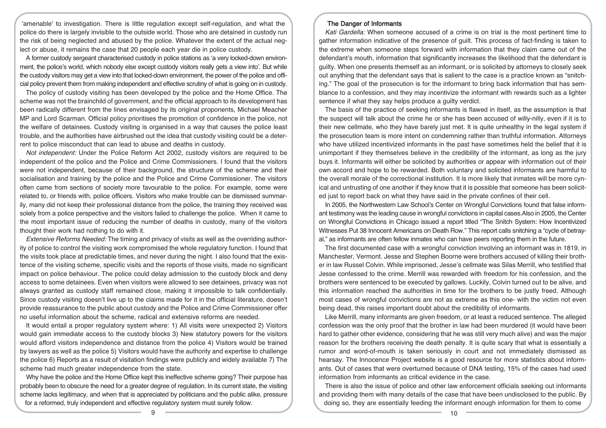'amenable' to investigation. There is little regulation except self-regulation, and what the police do there is largely invisible to the outside world. Those who are detained in custody run the risk of being neglected and abused by the police. Whatever the extent of the actual neglect or abuse, it remains the case that 20 people each year die in police custody.

A former custody sergeant characterised custody in police stations as 'a very locked-down environment, the police's world, which nobody else except custody visitors really gets a view into'. But while the custody visitors may get a view into that locked-down environment, the power of the police and official policy prevent them from making independent and effective scrutiny of what is going on in custody.

The policy of custody visiting has been developed by the police and the Home Office. The scheme was not the brainchild of government, and the official approach to its development has been radically different from the lines envisaged by its original proponents, Michael Meacher MP and Lord Scarman. Official policy prioritises the promotion of confidence in the police, not the welfare of detainees. Custody visiting is organised in a way that causes the police least trouble, and the authorities have airbrushed out the idea that custody visiting could be a deterrent to police misconduct that can lead to abuse and deaths in custody.

Not independent: Under the Police Reform Act 2002, custody visitors are required to be independent of the police and the Police and Crime Commissioners. I found that the visitors were not independent, because of their background, the structure of the scheme and their socialisation and training by the police and the Police and Crime Commissioner. The visitors often came from sections of society more favourable to the police. For example, some were related to, or friends with, police officers. Visitors who make trouble can be dismissed summarily, many did not keep their professional distance from the police, the training they received was solely from a police perspective and the visitors failed to challenge the police. When it came to the most important issue of reducing the number of deaths in custody, many of the visitors thought their work had nothing to do with it.

Extensive Reforms Needed: The timing and privacy of visits as well as the overriding authority of police to control the visiting work compromised the whole regulatory function. I found that the visits took place at predictable times, and never during the night. I also found that the existence of the visiting scheme, specific visits and the reports of those visits, made no significant impact on police behaviour. The police could delay admission to the custody block and deny access to some detainees. Even when visitors were allowed to see detainees, privacy was not always granted as custody staff remained close, making it impossible to talk confidentially. Since custody visiting doesn't live up to the claims made for it in the official literature, doesn't provide reassurance to the public about custody and the Police and Crime Commissioner offer no useful information about the scheme, radical and extensive reforms are needed.

It would entail a proper regulatory system where: 1) All visits were unexpected 2) Visitors would gain immediate access to the custody blocks 3) New statutory powers for the visitors would afford visitors independence and distance from the police 4) Visitors would be trained by lawyers as well as the police 5) Visitors would have the authority and expertise to challenge the police 6) Reports as a result of visitation findings were publicly and widely available 7) The scheme had much greater independence from the state.

Why have the police and the Home Office kept this ineffective scheme going? Their purpose has probably been to obscure the need for a greater degree of regulation. In its current state, the visiting scheme lacks legitimacy, and when that is appreciated by politicians and the public alike, pressure for a reformed, truly independent and effective regulatory system must surely follow.

## The Danger of Informants

Kati Gardella: When someone accused of a crime is on trial is the most pertinent time to gather information indicative of the presence of guilt. This process of fact-finding is taken to the extreme when someone steps forward with information that they claim came out of the defendant's mouth, information that significantly increases the likelihood that the defendant is guilty. When one presents themself as an informant, or is solicited by attorneys to closely seek out anything that the defendant says that is salient to the case is a practice known as "snitching." The goal of the prosecution is for the informant to bring back information that has semblance to a confession, and they may incentivize the informant with rewards such as a lighter sentence if what they say helps produce a guilty verdict.

The basis of the practice of seeking informants is flawed in itself, as the assumption is that the suspect will talk about the crime he or she has been accused of willy-nilly, even if it is to their new cellmate, who they have barely just met. It is quite unhealthy in the legal system if the prosecution team is more intent on condemning rather than truthful information. Attorneys who have utilized incentivized informants in the past have sometimes held the belief that it is unimportant if they themselves believe in the credibility of the informant, as long as the jury buys it. Informants will either be solicited by authorities or appear with information out of their own accord and hope to be rewarded. Both voluntary and solicited informants are harmful to the overall morale of the correctional institution. It is more likely that inmates will be more cynical and untrusting of one another if they know that it is possible that someone has been solicited just to report back on what they have said in the private confines of their cell.

In 2005, the Northwestern Law School's Center on Wrongful Convictions found that false informant testimony was the leading cause in wrongful convictions in capital cases.Also in 2005, the Center on Wrongful Convictions in Chicago issued a report titled "The Snitch System: How Incentivized Witnesses Put 38 Innocent Americans on Death Row." This report calls snitching a "cycle of betrayal," as informants are often fellow inmates who can have peers reporting them in the future.

The first documented case with a wrongful conviction involving an informant was in 1819, in Manchester, Vermont. Jesse and Stephen Boorne were brothers accused of killing their brother in law Russel Colvin. While imprisoned, Jesse's cellmate was Silas Merrill, who testified that Jesse confessed to the crime. Merrill was rewarded with freedom for his confession, and the brothers were sentenced to be executed by gallows. Luckily, Colvin turned out to be alive, and this information reached the authorities in time for the brothers to be justly freed. Although most cases of wrongful convictions are not as extreme as this one- with the victim not even being dead, this raises important doubt about the credibility of informants.

Like Merrill, many informants are given freedom, or at least a reduced sentence. The alleged confession was the only proof that the brother in law had been murdered (it would have been hard to gather other evidence, considering that he was still very much alive) and was the major reason for the brothers receiving the death penalty. It is quite scary that what is essentially a rumor and word-of-mouth is taken seriously in court and not immediately dismissed as hearsay. The Innocence Project website is a good resource for more statistics about informants. Out of cases that were overturned because of DNA testing, 15% of the cases had used information from informants as critical evidence in the case.

There is also the issue of police and other law enforcement officials seeking out informants and providing them with many details of the case that have been undisclosed to the public. By doing so, they are essentially feeding the informant enough information for them to come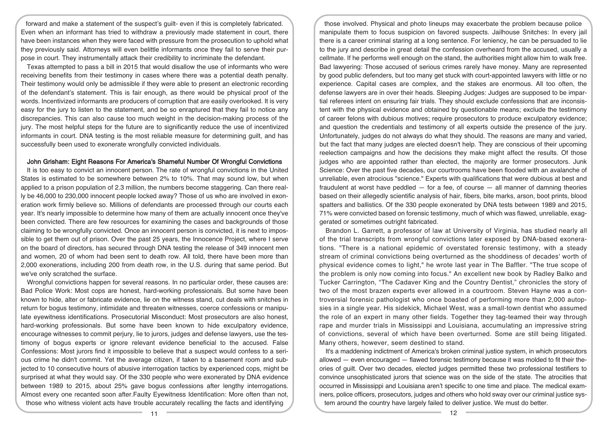forward and make a statement of the suspect's guilt- even if this is completely fabricated. Even when an informant has tried to withdraw a previously made statement in court, there have been instances when they were faced with pressure from the prosecution to uphold what they previously said. Attorneys will even belittle informants once they fail to serve their purpose in court. They instrumentally attack their credibility to incriminate the defendant.

Texas attempted to pass a bill in 2015 that would disallow the use of informants who were receiving benefits from their testimony in cases where there was a potential death penalty. Their testimony would only be admissible if they were able to present an electronic recording of the defendant's statement. This is fair enough, as there would be physical proof of the words. Incentivized informants are producers of corruption that are easily overlooked. It is very easy for the jury to listen to the statement, and be so enraptured that they fail to notice any discrepancies. This can also cause too much weight in the decision-making process of the jury. The most helpful steps for the future are to significantly reduce the use of incentivized informants in court. DNA testing is the most reliable measure for determining guilt, and has successfully been used to exonerate wrongfully convicted individuals.

#### John Grisham: Eight Reasons For America's Shameful Number Of Wrongful Convictions

It is too easy to convict an innocent person. The rate of wrongful convictions in the United States is estimated to be somewhere between 2% to 10%. That may sound low, but when applied to a prison population of 2.3 million, the numbers become staggering. Can there really be 46,000 to 230,000 innocent people locked away? Those of us who are involved in exoneration work firmly believe so. Millions of defendants are processed through our courts each year. It's nearly impossible to determine how many of them are actually innocent once they've been convicted. There are few resources for examining the cases and backgrounds of those claiming to be wrongfully convicted. Once an innocent person is convicted, it is next to impossible to get them out of prison. Over the past 25 years, the Innocence Project, where I serve on the board of directors, has secured through DNA testing the release of 349 innocent men and women, 20 of whom had been sent to death row. All told, there have been more than 2,000 exonerations, including 200 from death row, in the U.S. during that same period. But we've only scratched the surface.

Wrongful convictions happen for several reasons. In no particular order, these causes are: Bad Police Work: Most cops are honest, hard-working professionals. But some have been known to hide, alter or fabricate evidence, lie on the witness stand, cut deals with snitches in return for bogus testimony, intimidate and threaten witnesses, coerce confessions or manipulate eyewitness identifications. Prosecutorial Misconduct: Most prosecutors are also honest, hard-working professionals. But some have been known to hide exculpatory evidence, encourage witnesses to commit perjury, lie to jurors, judges and defense lawyers, use the testimony of bogus experts or ignore relevant evidence beneficial to the accused. False Confessions: Most jurors find it impossible to believe that a suspect would confess to a serious crime he didn't commit. Yet the average citizen, if taken to a basement room and subjected to 10 consecutive hours of abusive interrogation tactics by experienced cops, might be surprised at what they would say. Of the 330 people who were exonerated by DNA evidence between 1989 to 2015, about 25% gave bogus confessions after lengthy interrogations. Almost every one recanted soon after.Faulty Eyewitness Identification: More often than not, those who witness violent acts have trouble accurately recalling the facts and identifying

those involved. Physical and photo lineups may exacerbate the problem because police manipulate them to focus suspicion on favored suspects. Jailhouse Snitches: In every jail there is a career criminal staring at a long sentence. For leniency, he can be persuaded to lie to the jury and describe in great detail the confession overheard from the accused, usually a cellmate. If he performs well enough on the stand, the authorities might allow him to walk free. Bad lawyering: Those accused of serious crimes rarely have money. Many are represented by good public defenders, but too many get stuck with court-appointed lawyers with little or no experience. Capital cases are complex, and the stakes are enormous. All too often, the defense lawyers are in over their heads. Sleeping Judges: Judges are supposed to be impartial referees intent on ensuring fair trials. They should exclude confessions that are inconsistent with the physical evidence and obtained by questionable means; exclude the testimony of career felons with dubious motives; require prosecutors to produce exculpatory evidence; and question the credentials and testimony of all experts outside the presence of the jury. Unfortunately, judges do not always do what they should. The reasons are many and varied, but the fact that many judges are elected doesn't help. They are conscious of their upcoming reelection campaigns and how the decisions they make might affect the results. Of those judges who are appointed rather than elected, the majority are former prosecutors. Junk Science: Over the past five decades, our courtrooms have been flooded with an avalanche of unreliable, even atrocious "science." Experts with qualifications that were dubious at best and fraudulent at worst have peddled  $-$  for a fee, of course  $-$  all manner of damning theories based on their allegedly scientific analysis of hair, fibers, bite marks, arson, boot prints, blood spatters and ballistics. Of the 330 people exonerated by DNA tests between 1989 and 2015, 71% were convicted based on forensic testimony, much of which was flawed, unreliable, exaggerated or sometimes outright fabricated.

Brandon L. Garrett, a professor of law at University of Virginia, has studied nearly all of the trial transcripts from wrongful convictions later exposed by DNA-based exonerations. "There is a national epidemic of overstated forensic testimony, with a steady stream of criminal convictions being overturned as the shoddiness of decades' worth of physical evidence comes to light," he wrote last year in The Baffler. "The true scope of the problem is only now coming into focus." An excellent new book by Radley Balko and Tucker Carrington, "The Cadaver King and the Country Dentist," chronicles the story of two of the most brazen experts ever allowed in a courtroom. Steven Hayne was a controversial forensic pathologist who once boasted of performing more than 2,000 autopsies in a single year. His sidekick, Michael West, was a small-town dentist who assumed the role of an expert in many other fields. Together they tag-teamed their way through rape and murder trials in Mississippi and Louisiana, accumulating an impressive string of convictions, several of which have been overturned. Some are still being litigated. Many others, however, seem destined to stand.

It's a maddening indictment of America's broken criminal justice system, in which prosecutors allowed — even encouraged — flawed forensic testimony because it was molded to fit their theories of guilt. Over two decades, elected judges permitted these two professional testifiers to convince unsophisticated jurors that science was on the side of the state. The atrocities that occurred in Mississippi and Louisiana aren't specific to one time and place. The medical examiners, police officers, prosecutors, judges and others who hold sway over our criminal justice system around the country have largely failed to deliver justice. We must do better.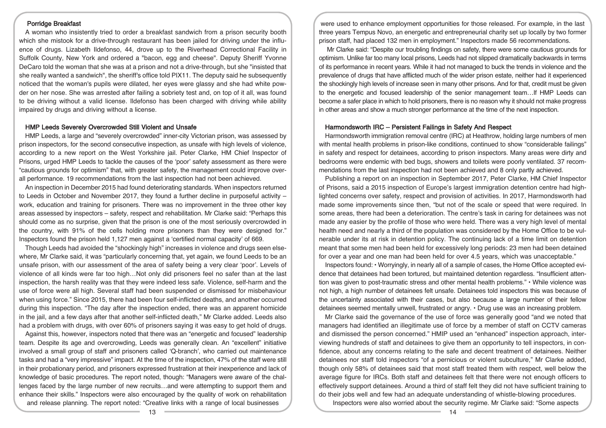### Porridge Breakfast

A woman who insistently tried to order a breakfast sandwich from a prison security booth which she mistook for a drive-through restaurant has been jailed for driving under the influence of drugs. Lizabeth Ildefonso, 44, drove up to the Riverhead Correctional Facility in Suffolk County, New York and ordered a "bacon, egg and cheese". Deputy Sheriff Yvonne DeCaro told the woman that she was at a prison and not a drive-through, but she "insisted that she really wanted a sandwich", the sheriff's office told PIX11. The deputy said he subsequently noticed that the woman's pupils were dilated, her eyes were glassy and she had white powder on her nose. She was arrested after failing a sobriety test and, on top of it all, was found to be driving without a valid license. Ildefonso has been charged with driving while ability impaired by drugs and driving without a license.

## HMP Leeds Severely Overcrowded Still Violent and Unsafe

HMP Leeds, a large and "severely overcrowded" inner-city Victorian prison, was assessed by prison inspectors, for the second consecutive inspection, as unsafe with high levels of violence, according to a new report on the West Yorkshire jail. Peter Clarke, HM Chief Inspector of Prisons, urged HMP Leeds to tackle the causes of the 'poor' safety assessment as there were "cautious grounds for optimism" that, with greater safety, the management could improve overall performance. 19 recommendations from the last inspection had not been achieved.

An inspection in December 2015 had found deteriorating standards. When inspectors returned to Leeds in October and November 2017, they found a further decline in purposeful activity – work, education and training for prisoners. There was no improvement in the three other key areas assessed by inspectors – safety, respect and rehabilitation. Mr Clarke said: "Perhaps this should come as no surprise, given that the prison is one of the most seriously overcrowded in the country, with 91% of the cells holding more prisoners than they were designed for." Inspectors found the prison held 1,127 men against a 'certified normal capacity' of 669.

Though Leeds had avoided the "shockingly high" increases in violence and drugs seen elsewhere, Mr Clarke said, it was "particularly concerning that, yet again, we found Leeds to be an unsafe prison, with our assessment of the area of safety being a very clear 'poor'. Levels of violence of all kinds were far too high…Not only did prisoners feel no safer than at the last inspection, the harsh reality was that they were indeed less safe. Violence, self-harm and the use of force were all high. Several staff had been suspended or dismissed for misbehaviour when using force." Since 2015, there had been four self-inflicted deaths, and another occurred during this inspection. "The day after the inspection ended, there was an apparent homicide in the jail, and a few days after that another self-inflicted death," Mr Clarke added. Leeds also had a problem with drugs, with over 60% of prisoners saying it was easy to get hold of drugs.

Against this, however, inspectors noted that there was an "energetic and focused" leadership team. Despite its age and overcrowding, Leeds was generally clean. An "excellent" initiative involved a small group of staff and prisoners called 'Q-branch', who carried out maintenance tasks and had a "very impressive" impact. At the time of the inspection, 47% of the staff were still in their probationary period, and prisoners expressed frustration at their inexperience and lack of knowledge of basic procedures. The report noted, though: "Managers were aware of the challenges faced by the large number of new recruits…and were attempting to support them and enhance their skills." Inspectors were also encouraged by the quality of work on rehabilitation and release planning. The report noted: "Creative links with a range of local businesses

were used to enhance employment opportunities for those released. For example, in the last three years Tempus Novo, an energetic and entrepreneurial charity set up locally by two former prison staff, had placed 132 men in employment." Inspectors made 56 recommendations.

Mr Clarke said: "Despite our troubling findings on safety, there were some cautious grounds for optimism. Unlike far too many local prisons, Leeds had not slipped dramatically backwards in terms of its performance in recent years. While it had not managed to buck the trends in violence and the prevalence of drugs that have afflicted much of the wider prison estate, neither had it experienced the shockingly high levels of increase seen in many other prisons. And for that, credit must be given to the energetic and focused leadership of the senior management team…If HMP Leeds can become a safer place in which to hold prisoners, there is no reason why it should not make progress in other areas and show a much stronger performance at the time of the next inspection.

### Harmondsworth IRC – Persistent Failings in Safety And Respect

Harmondsworth immigration removal centre (IRC) at Heathrow, holding large numbers of men with mental health problems in prison-like conditions, continued to show "considerable failings" in safety and respect for detainees, according to prison inspectors. Many areas were dirty and bedrooms were endemic with bed bugs, showers and toilets were poorly ventilated. 37 recommendations from the last inspection had not been achieved and 8 only partly achieved.

Publishing a report on an inspection in September 2017, Peter Clarke, HM Chief Inspector of Prisons, said a 2015 inspection of Europe's largest immigration detention centre had highlighted concerns over safety, respect and provision of activities. In 2017, Harmondsworth had made some improvements since then, "but not of the scale or speed that were required. In some areas, there had been a deterioration. The centre's task in caring for detainees was not made any easier by the profile of those who were held. There was a very high level of mental health need and nearly a third of the population was considered by the Home Office to be vulnerable under its at risk in detention policy. The continuing lack of a time limit on detention meant that some men had been held for excessively long periods: 23 men had been detained for over a year and one man had been held for over 4.5 years, which was unacceptable."

Inspectors found: • Worryingly, in nearly all of a sample of cases, the Home Office accepted evidence that detainees had been tortured, but maintained detention regardless. "Insufficient attention was given to post-traumatic stress and other mental health problems." • While violence was not high, a high number of detainees felt unsafe. Detainees told inspectors this was because of the uncertainty associated with their cases, but also because a large number of their fellow detainees seemed mentally unwell, frustrated or angry. • Drug use was an increasing problem.

Mr Clarke said the governance of the use of force was generally good "and we noted that managers had identified an illegitimate use of force by a member of staff on CCTV cameras and dismissed the person concerned." HMIP used an "enhanced" inspection approach, interviewing hundreds of staff and detainees to give them an opportunity to tell inspectors, in confidence, about any concerns relating to the safe and decent treatment of detainees. Neither detainees nor staff told inspectors "of a pernicious or violent subculture," Mr Clarke added, though only 58% of detainees said that most staff treated them with respect, well below the average figure for IRCs. Both staff and detainees felt that there were not enough officers to effectively support detainees. Around a third of staff felt they did not have sufficient training to do their jobs well and few had an adequate understanding of whistle-blowing procedures.

Inspectors were also worried about the security regime. Mr Clarke said: "Some aspects